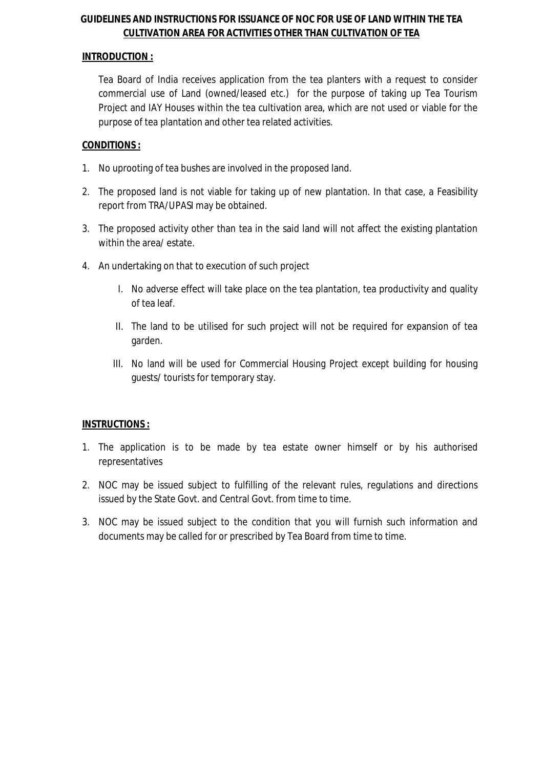## **GUIDELINES AND INSTRUCTIONS FOR ISSUANCE OF NOC FOR USE OF LAND WITHIN THE TEA CULTIVATION AREA FOR ACTIVITIES OTHER THAN CULTIVATION OF TEA**

#### **INTRODUCTION :**

Tea Board of India receives application from the tea planters with a request to consider commercial use of Land (owned/leased etc.) for the purpose of taking up Tea Tourism Project and IAY Houses within the tea cultivation area, which are not used or viable for the purpose of tea plantation and other tea related activities.

### **CONDITIONS :**

- 1. No uprooting of tea bushes are involved in the proposed land.
- 2. The proposed land is not viable for taking up of new plantation. In that case, a Feasibility report from TRA/UPASI may be obtained.
- 3. The proposed activity other than tea in the said land will not affect the existing plantation within the area/ estate.
- 4. An undertaking on that to execution of such project
	- I. No adverse effect will take place on the tea plantation, tea productivity and quality of tea leaf.
	- II. The land to be utilised for such project will not be required for expansion of tea garden.
	- III. No land will be used for Commercial Housing Project except building for housing guests/ tourists for temporary stay.

## **INSTRUCTIONS :**

- 1. The application is to be made by tea estate owner himself or by his authorised representatives
- 2. NOC may be issued subject to fulfilling of the relevant rules, regulations and directions issued by the State Govt. and Central Govt. from time to time.
- 3. NOC may be issued subject to the condition that you will furnish such information and documents may be called for or prescribed by Tea Board from time to time.